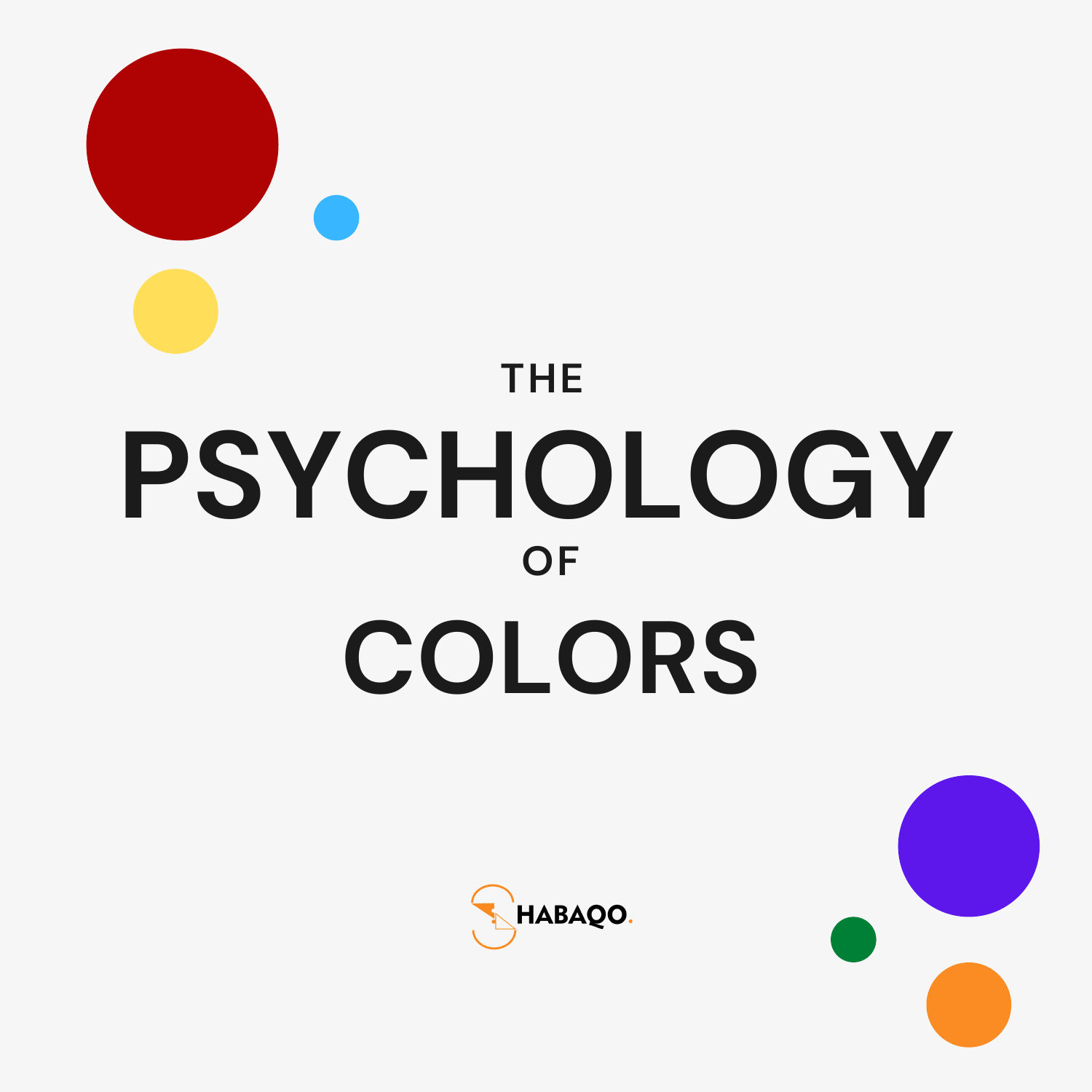# **PSYCHOLOGY COLORS OF THE**



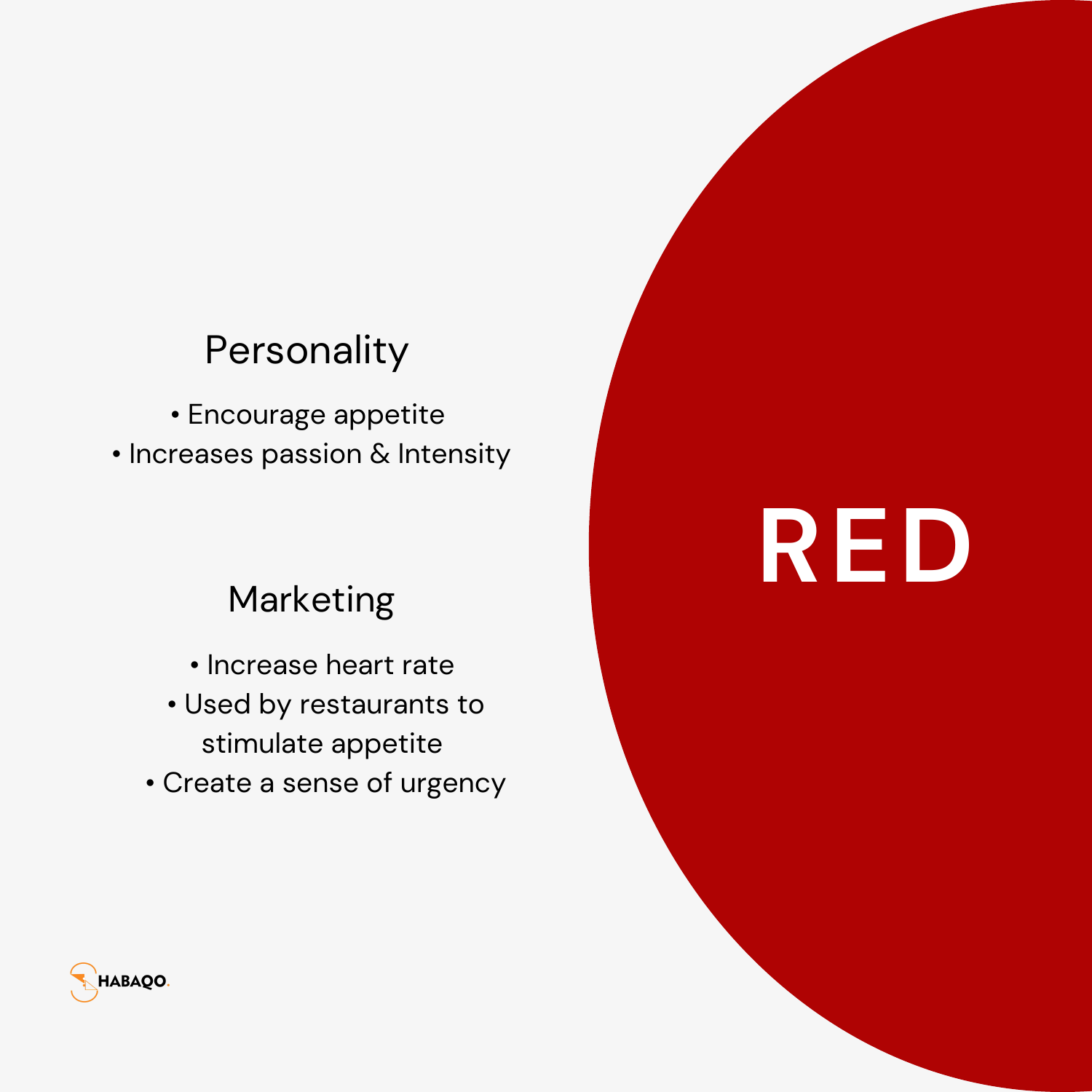### Personality

• Encourage appetite  $\bullet$  Increases passion & Intensity

### Marketing

- $\bullet$  Increase heart rate
- Used by restaurants to stimulate appetite
- Create a sense of urgency

## **R E D**

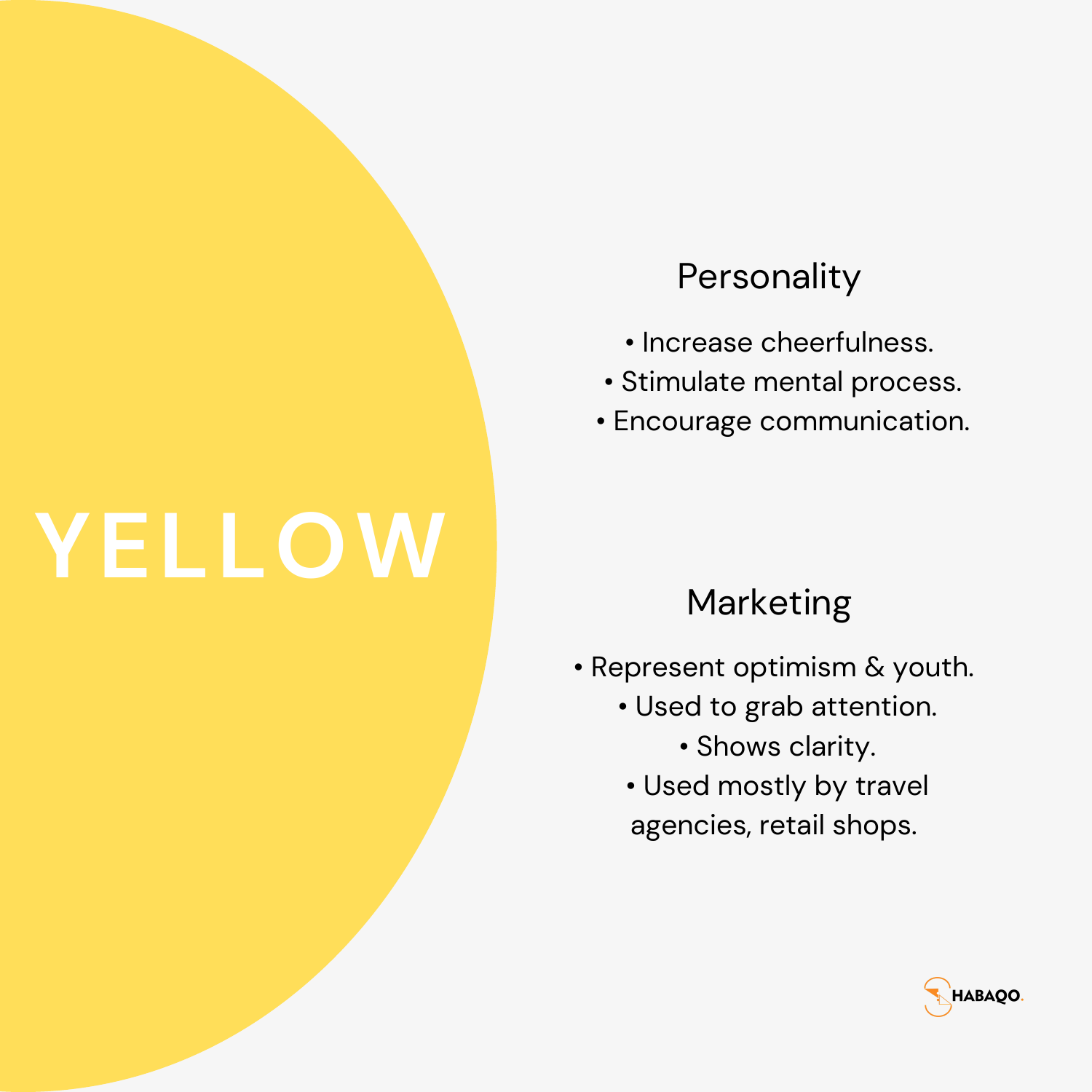### **YELLOW**

### **Personality**

- Increase cheerfulness.
- Stimulate mental process.
- Encourage communication.

### Marketing

- Represent optimism & youth.
	- Used to grab attention.
		- Shows clarity.
	- Used mostly by travel agencies, retail shops.

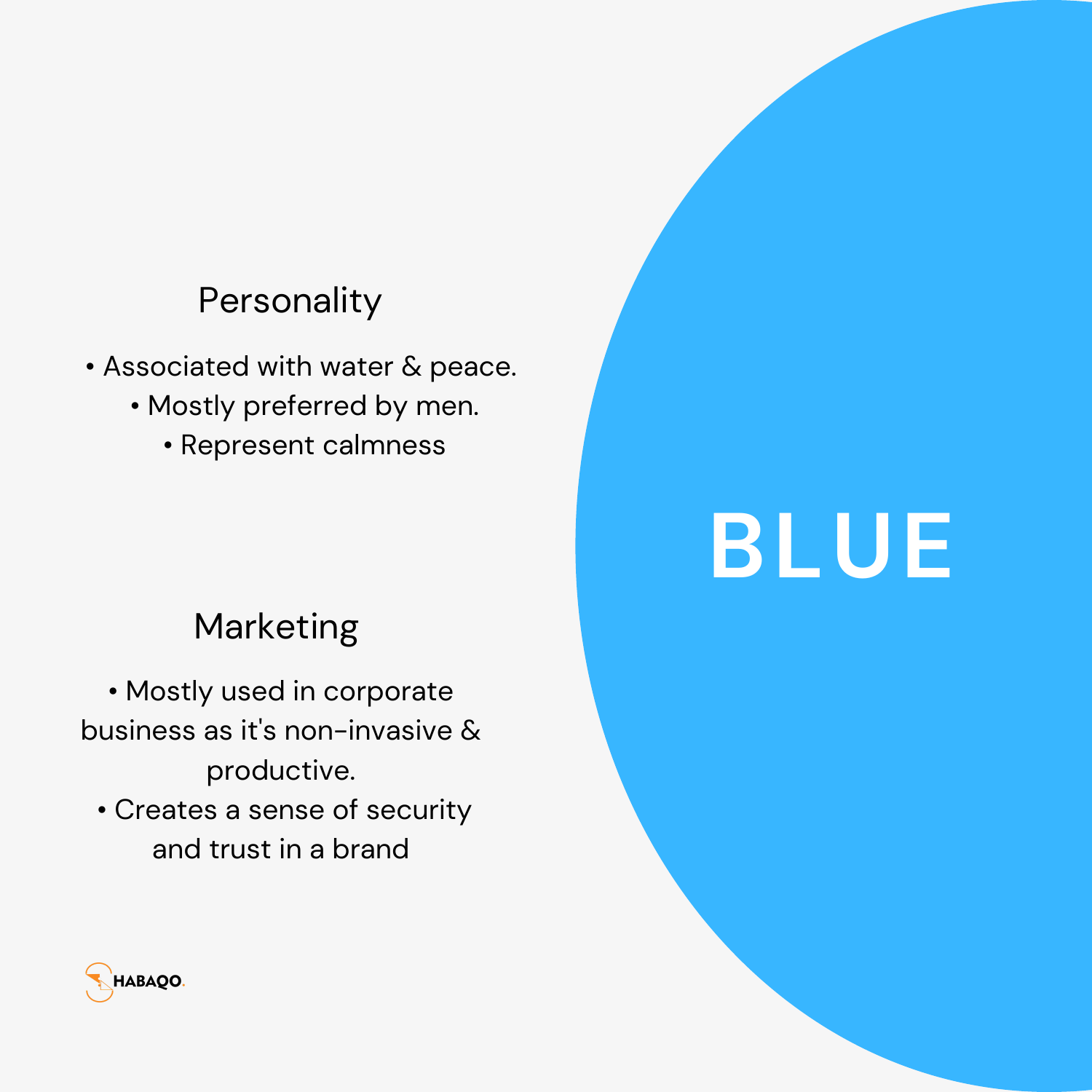#### **Personality**

- Associated with water & peace.
	- Mostly preferred by men.
		- Represent calmness

#### Marketing

• Mostly used in corporate business as it's non-invasive & productive.

• Creates a sense of security and trust in a brand

### **BLUE**

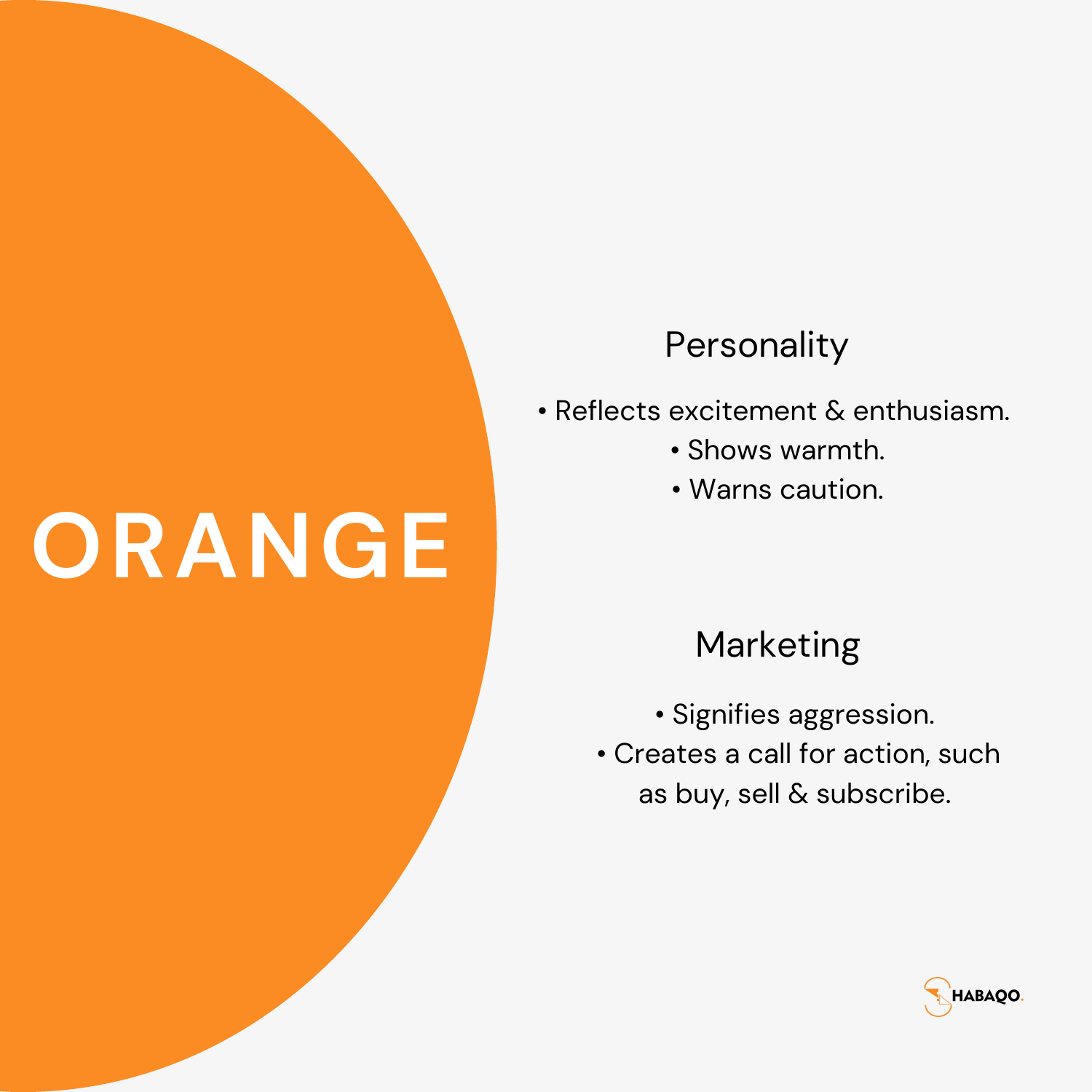### **ORANGE**

### **Personality**

- Reflects excitement & enthusiasm.
	- Shows warmth.
	- Warns caution.

#### Marketing

- Signifies aggression.
- Creates a call for action, such as buy, sell & subscribe.

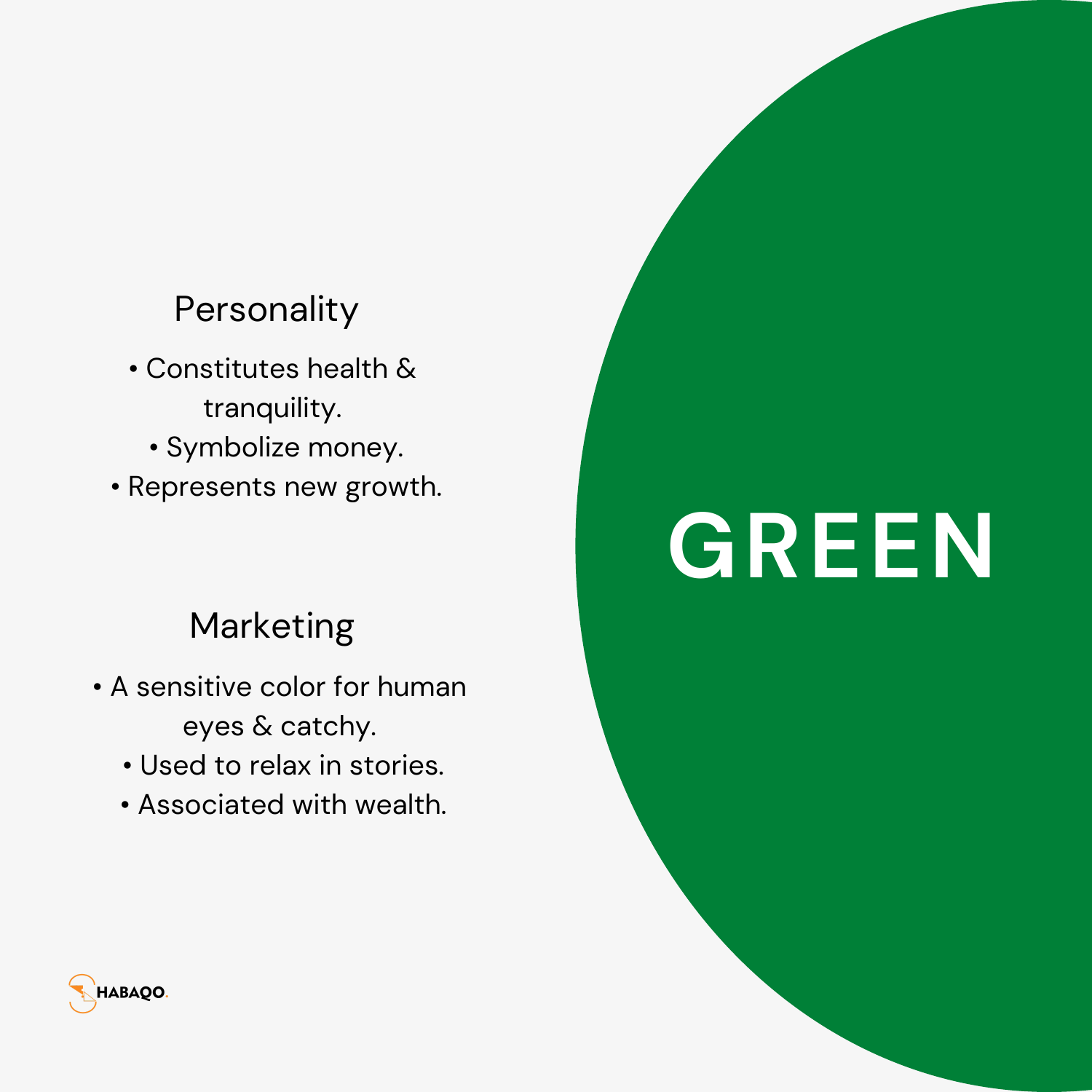#### **Personality**

- Constitutes health & tranquility.
	- Symbolize money.
- Represents new growth.

### Marketing

- A sensitive color for human eyes & catchy.
	- Used to relax in stories.
	- Associated with wealth.

### **GREEN**